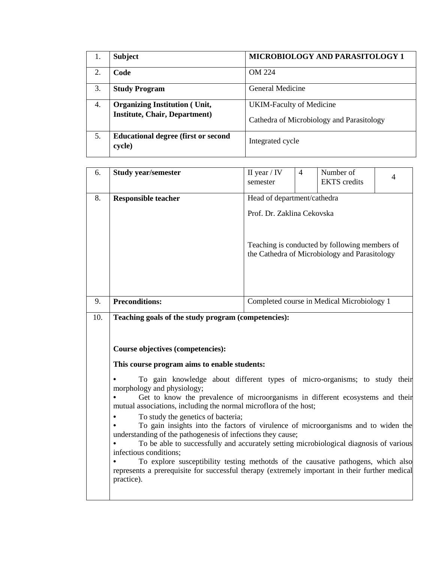| 1. | <b>Subject</b>                                        | MICROBIOLOGY AND PARASITOLOGY 1           |
|----|-------------------------------------------------------|-------------------------------------------|
| 2. | Code                                                  | <b>OM 224</b>                             |
| 3. | <b>Study Program</b>                                  | General Medicine                          |
| 4. | <b>Organizing Institution (Unit,</b>                  | <b>UKIM-Faculty of Medicine</b>           |
|    | <b>Institute, Chair, Department)</b>                  | Cathedra of Microbiology and Parasitology |
| 5. | <b>Educational degree (first or second)</b><br>cycle) | Integrated cycle                          |

| 6.  | <b>Study year/semester</b>                                                                                                                                                                                                                                                                                                                                                                                                                                                                                                                                                                                                                                                                                                                                                                                                                                                                                                            | II year $/$ IV<br>semester                                                                                                                                  | $\overline{4}$ | Number of<br><b>EKTS</b> credits           | $\overline{4}$ |  |  |  |
|-----|---------------------------------------------------------------------------------------------------------------------------------------------------------------------------------------------------------------------------------------------------------------------------------------------------------------------------------------------------------------------------------------------------------------------------------------------------------------------------------------------------------------------------------------------------------------------------------------------------------------------------------------------------------------------------------------------------------------------------------------------------------------------------------------------------------------------------------------------------------------------------------------------------------------------------------------|-------------------------------------------------------------------------------------------------------------------------------------------------------------|----------------|--------------------------------------------|----------------|--|--|--|
| 8.  | <b>Responsible teacher</b>                                                                                                                                                                                                                                                                                                                                                                                                                                                                                                                                                                                                                                                                                                                                                                                                                                                                                                            | Head of department/cathedra<br>Prof. Dr. Zaklina Cekovska<br>Teaching is conducted by following members of<br>the Cathedra of Microbiology and Parasitology |                |                                            |                |  |  |  |
| 9.  | <b>Preconditions:</b>                                                                                                                                                                                                                                                                                                                                                                                                                                                                                                                                                                                                                                                                                                                                                                                                                                                                                                                 |                                                                                                                                                             |                | Completed course in Medical Microbiology 1 |                |  |  |  |
| 10. | Teaching goals of the study program (competencies):<br><b>Course objectives (competencies):</b><br>This course program aims to enable students:<br>To gain knowledge about different types of micro-organisms; to study their<br>morphology and physiology;<br>Get to know the prevalence of microorganisms in different ecosystems and their<br>mutual associations, including the normal microflora of the host;<br>To study the genetics of bacteria;<br>To gain insights into the factors of virulence of microorganisms and to widen the<br>understanding of the pathogenesis of infections they cause;<br>To be able to successfully and accurately setting microbiological diagnosis of various<br>infectious conditions;<br>To explore susceptibility testing methotds of the causative pathogens, which also<br>represents a prerequisite for successful therapy (extremely important in their further medical<br>practice). |                                                                                                                                                             |                |                                            |                |  |  |  |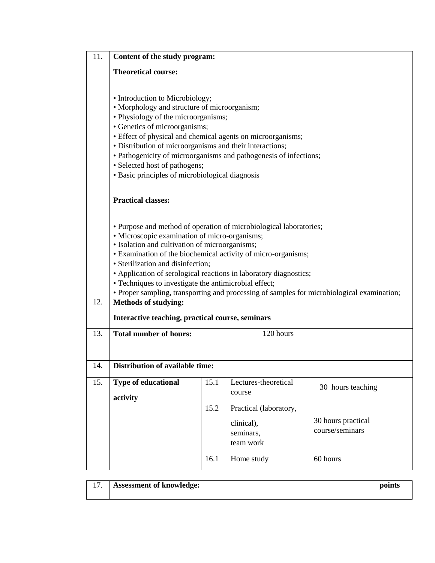| 11. | Content of the study program:                                                                                                                                                                                                                                                                                                                                                                                                                                                                           |              |                                                    |                        |                                                   |  |  |  |  |
|-----|---------------------------------------------------------------------------------------------------------------------------------------------------------------------------------------------------------------------------------------------------------------------------------------------------------------------------------------------------------------------------------------------------------------------------------------------------------------------------------------------------------|--------------|----------------------------------------------------|------------------------|---------------------------------------------------|--|--|--|--|
|     | <b>Theoretical course:</b>                                                                                                                                                                                                                                                                                                                                                                                                                                                                              |              |                                                    |                        |                                                   |  |  |  |  |
|     | • Introduction to Microbiology;<br>• Morphology and structure of microorganism;<br>• Physiology of the microorganisms;<br>• Genetics of microorganisms;<br>· Effect of physical and chemical agents on microorganisms;<br>· Distribution of microorganisms and their interactions;<br>· Pathogenicity of microorganisms and pathogenesis of infections;<br>· Selected host of pathogens;<br>• Basic principles of microbiological diagnosis                                                             |              |                                                    |                        |                                                   |  |  |  |  |
|     | <b>Practical classes:</b>                                                                                                                                                                                                                                                                                                                                                                                                                                                                               |              |                                                    |                        |                                                   |  |  |  |  |
|     | · Purpose and method of operation of microbiological laboratories;<br>· Microscopic examination of micro-organisms;<br>· Isolation and cultivation of microorganisms;<br>• Examination of the biochemical activity of micro-organisms;<br>· Sterilization and disinfection;<br>• Application of serological reactions in laboratory diagnostics;<br>• Techniques to investigate the antimicrobial effect;<br>• Proper sampling, transporting and processing of samples for microbiological examination; |              |                                                    |                        |                                                   |  |  |  |  |
| 12. | <b>Methods of studying:</b><br>Interactive teaching, practical course, seminars                                                                                                                                                                                                                                                                                                                                                                                                                         |              |                                                    |                        |                                                   |  |  |  |  |
| 13. | <b>Total number of hours:</b><br>120 hours                                                                                                                                                                                                                                                                                                                                                                                                                                                              |              |                                                    |                        |                                                   |  |  |  |  |
| 14. | Distribution of available time:                                                                                                                                                                                                                                                                                                                                                                                                                                                                         |              |                                                    |                        |                                                   |  |  |  |  |
| 15. | Type of educational<br>activity                                                                                                                                                                                                                                                                                                                                                                                                                                                                         | 15.1         | course                                             | Lectures-theoretical   | 30 hours teaching                                 |  |  |  |  |
|     |                                                                                                                                                                                                                                                                                                                                                                                                                                                                                                         | 15.2<br>16.1 | clinical),<br>seminars,<br>team work<br>Home study | Practical (laboratory, | 30 hours practical<br>course/seminars<br>60 hours |  |  |  |  |
|     |                                                                                                                                                                                                                                                                                                                                                                                                                                                                                                         |              |                                                    |                        |                                                   |  |  |  |  |

| 17. | <b>Assessment of knowledge:</b> | points |
|-----|---------------------------------|--------|
|     |                                 |        |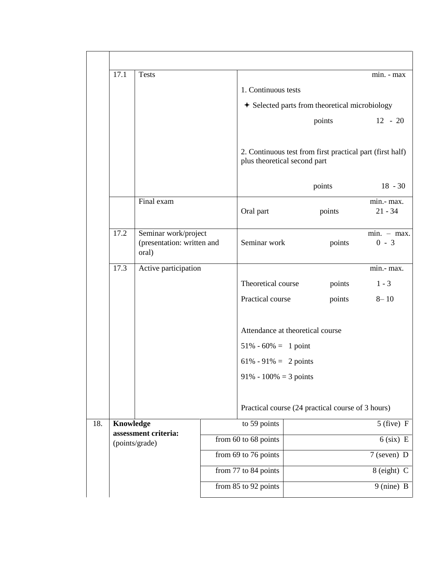|     | 17.1                                                | <b>Tests</b>                                                |                      |                                                                                      |                                                           |                         | min. - max               |  |
|-----|-----------------------------------------------------|-------------------------------------------------------------|----------------------|--------------------------------------------------------------------------------------|-----------------------------------------------------------|-------------------------|--------------------------|--|
|     |                                                     |                                                             |                      | 1. Continuous tests                                                                  |                                                           |                         |                          |  |
|     |                                                     |                                                             |                      | + Selected parts from theoretical microbiology                                       |                                                           |                         |                          |  |
|     |                                                     |                                                             |                      |                                                                                      | points                                                    |                         | $12 - 20$                |  |
|     |                                                     |                                                             |                      | plus theoretical second part                                                         | 2. Continuous test from first practical part (first half) |                         |                          |  |
|     |                                                     |                                                             |                      |                                                                                      | points                                                    |                         | $18 - 30$                |  |
|     | Final exam                                          |                                                             | Oral part            | points                                                                               |                                                           | min.- max.<br>$21 - 34$ |                          |  |
|     | 17.2                                                | Seminar work/project<br>(presentation: written and<br>oral) |                      | Seminar work                                                                         |                                                           | points                  | $min. - max.$<br>$0 - 3$ |  |
|     | 17.3                                                | Active participation                                        |                      |                                                                                      |                                                           |                         | min.- max.               |  |
|     |                                                     |                                                             |                      | Theoretical course                                                                   |                                                           | points                  | $1 - 3$                  |  |
|     |                                                     |                                                             |                      | Practical course                                                                     |                                                           | points                  | $8 - 10$                 |  |
|     |                                                     |                                                             |                      | $51\% - 60\% = 1$ point<br>$61\% - 91\% = 2 \text{ points}$<br>91% - 100% = 3 points | Attendance at theoretical course                          |                         |                          |  |
|     |                                                     |                                                             |                      |                                                                                      |                                                           |                         |                          |  |
|     |                                                     |                                                             |                      |                                                                                      | Practical course (24 practical course of 3 hours)         |                         |                          |  |
| 18. | Knowledge<br>assessment criteria:<br>(points/grade) |                                                             | to 59 points         |                                                                                      |                                                           |                         | $5$ (five) F             |  |
|     |                                                     |                                                             | from 60 to 68 points |                                                                                      | $6$ (six) E                                               |                         |                          |  |
|     |                                                     |                                                             |                      | from 69 to 76 points                                                                 |                                                           | $7$ (seven) D           |                          |  |
|     |                                                     |                                                             |                      | from 77 to 84 points                                                                 |                                                           | 8 (eight) C             |                          |  |
|     |                                                     |                                                             | from 85 to 92 points |                                                                                      | 9 (nine) B                                                |                         |                          |  |